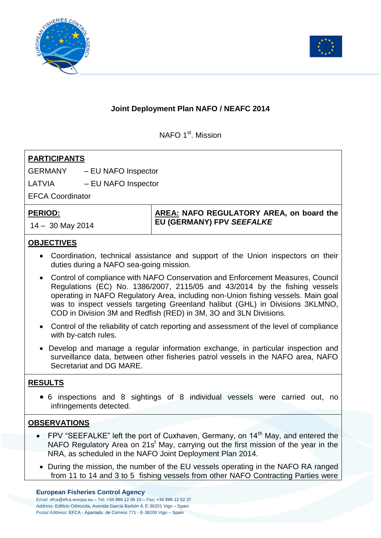



## **Joint Deployment Plan NAFO / NEAFC 2014**

NAFO 1<sup>st</sup>. Mission

| <b>PARTICIPANTS</b>                                                                                                                                                                                                                                                                                                                  |                                          |
|--------------------------------------------------------------------------------------------------------------------------------------------------------------------------------------------------------------------------------------------------------------------------------------------------------------------------------------|------------------------------------------|
| <b>GERMANY</b><br>- EU NAFO Inspector                                                                                                                                                                                                                                                                                                |                                          |
| LATVIA<br>- EU NAFO Inspector                                                                                                                                                                                                                                                                                                        |                                          |
| <b>EFCA Coordinator</b>                                                                                                                                                                                                                                                                                                              |                                          |
| <b>PERIOD:</b>                                                                                                                                                                                                                                                                                                                       | AREA: NAFO REGULATORY AREA, on board the |
| $14 - 30$ May 2014                                                                                                                                                                                                                                                                                                                   | EU (GERMANY) FPV SEEFALKE                |
| <b>OBJECTIVES</b>                                                                                                                                                                                                                                                                                                                    |                                          |
| • Coordination, technical assistance and support of the Union inspectors on their<br>duties during a NAFO sea-going mission.                                                                                                                                                                                                         |                                          |
| • Control of compliance with NAFO Conservation and Enforcement Measures, Council<br>Regulations (EC) No. 1386/2007, 2115/05 and 43/2014 by the fishing vessels<br>operating in NAFO Regulatory Area, including non-Union fishing vessels. Main goal<br>was to inspect vessels targeting Greenland halibut (GHL) in Divisions 3KLMNO, |                                          |

• Control of the reliability of catch reporting and assessment of the level of compliance with by-catch rules.

COD in Division 3M and Redfish (RED) in 3M, 3O and 3LN Divisions.

 Develop and manage a regular information exchange, in particular inspection and surveillance data, between other fisheries patrol vessels in the NAFO area, NAFO Secretariat and DG MARE.

## **RESULTS**

 6 inspections and 8 sightings of 8 individual vessels were carried out, no infringements detected.

## **OBSERVATIONS**

- FPV "SEEFALKE" left the port of Cuxhaven, Germany, on 14<sup>th</sup> May, and entered the NAFO Regulatory Area on 21s<sup>t</sup> May, carrying out the first mission of the year in the NRA, as scheduled in the NAFO Joint Deployment Plan 2014.
- During the mission, the number of the EU vessels operating in the NAFO RA ranged from 11 to 14 and 3 to 5 fishing vessels from other NAFO Contracting Parties were

## **European Fisheries Control Agency**

Email: efca@efca.europa.eu – Tel: +34 986 12 06 10 – Fax: +34 886 12 52 37 Address: Edificio Odriozola, Avenida García Barbón 4, E-36201 Vigo – Spain Postal Address: EFCA - Apartado de Correos 771 - E-36200 Vigo – Spain